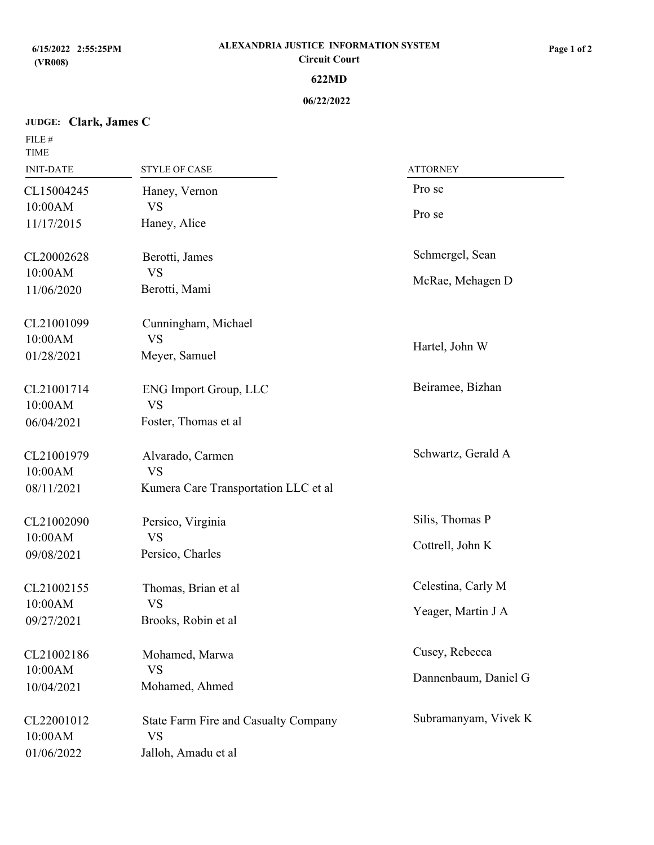# **JUDGE: Clark, James C**

| FILE #<br><b>TIME</b>                             |                                                                                 |                                          |  |
|---------------------------------------------------|---------------------------------------------------------------------------------|------------------------------------------|--|
| <b>INIT-DATE</b>                                  | <b>STYLE OF CASE</b>                                                            | <b>ATTORNEY</b>                          |  |
| CL15004245<br>10:00AM<br>11/17/2015               | Haney, Vernon<br><b>VS</b><br>Haney, Alice                                      | Pro se<br>Pro se                         |  |
| CL20002628<br>10:00AM<br>11/06/2020<br>CL21001099 | Berotti, James<br><b>VS</b><br>Berotti, Mami<br>Cunningham, Michael             | Schmergel, Sean<br>McRae, Mehagen D      |  |
| 10:00AM<br>01/28/2021                             | <b>VS</b><br>Meyer, Samuel                                                      | Hartel, John W                           |  |
| CL21001714<br>10:00AM<br>06/04/2021               | <b>ENG Import Group, LLC</b><br><b>VS</b><br>Foster, Thomas et al               | Beiramee, Bizhan                         |  |
| CL21001979<br>10:00AM<br>08/11/2021               | Alvarado, Carmen<br><b>VS</b><br>Kumera Care Transportation LLC et al           | Schwartz, Gerald A                       |  |
| CL21002090<br>10:00AM<br>09/08/2021               | Persico, Virginia<br><b>VS</b><br>Persico, Charles                              | Silis, Thomas P<br>Cottrell, John K      |  |
| CL21002155<br>10:00AM<br>09/27/2021               | Thomas, Brian et al<br><b>VS</b><br>Brooks, Robin et al                         | Celestina, Carly M<br>Yeager, Martin J A |  |
| CL21002186<br>10:00AM<br>10/04/2021               | Mohamed, Marwa<br><b>VS</b><br>Mohamed, Ahmed                                   | Cusey, Rebecca<br>Dannenbaum, Daniel G   |  |
| CL22001012<br>10:00AM<br>01/06/2022               | <b>State Farm Fire and Casualty Company</b><br><b>VS</b><br>Jalloh, Amadu et al | Subramanyam, Vivek K                     |  |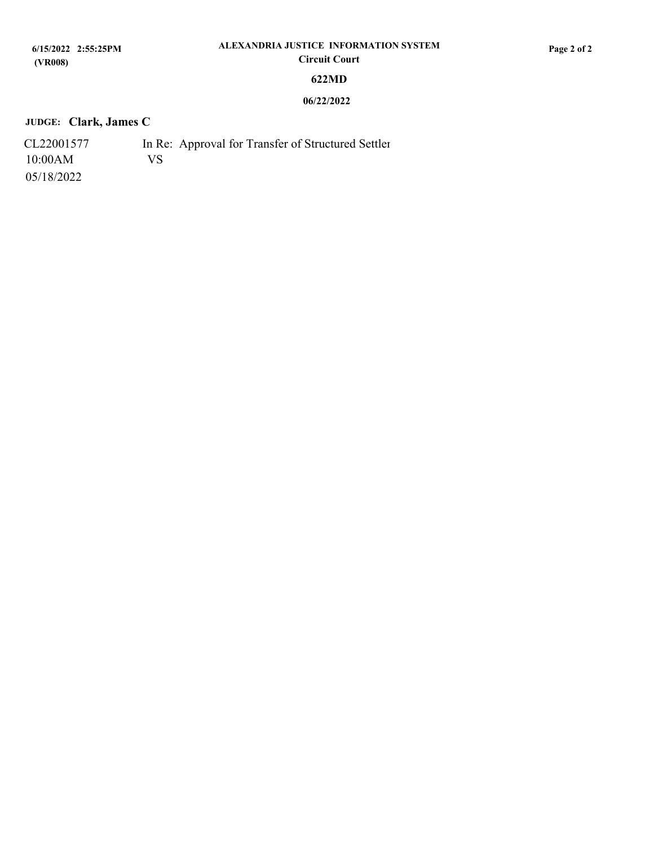# **JUDGE: Clark, James C**

| CL22001577 |     | In Re: Approval for Transfer of Structured Settler |
|------------|-----|----------------------------------------------------|
| 10:00AM    | VS. |                                                    |
| 05/18/2022 |     |                                                    |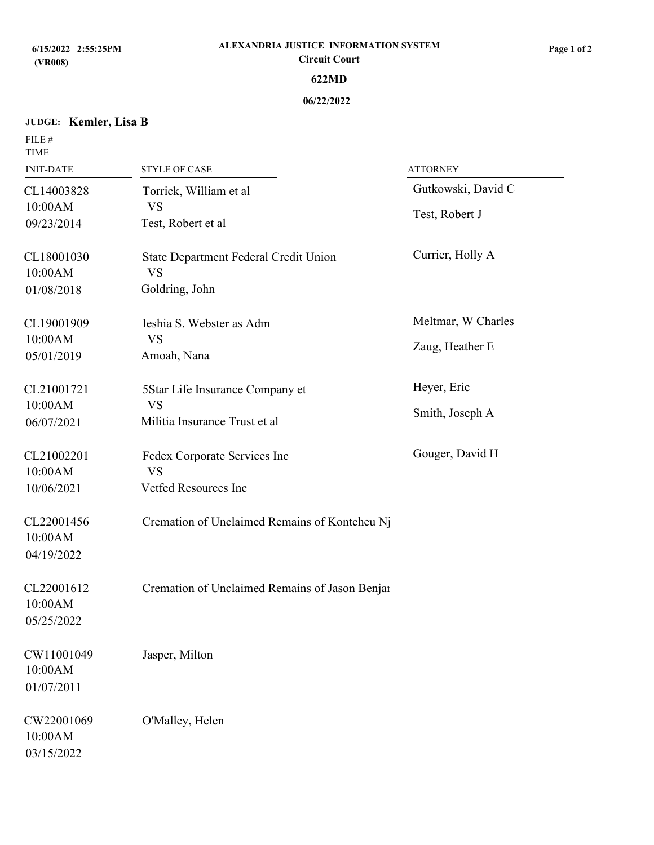# **JUDGE: Kemler, Lisa B**

FILE  $\#$ 

| <b>TIME</b>                         |                                                    |                    |  |
|-------------------------------------|----------------------------------------------------|--------------------|--|
| <b>INIT-DATE</b>                    | <b>STYLE OF CASE</b>                               | <b>ATTORNEY</b>    |  |
| CL14003828<br>10:00AM               | Torrick, William et al<br><b>VS</b>                | Gutkowski, David C |  |
| 09/23/2014                          | Test, Robert et al                                 | Test, Robert J     |  |
| CL18001030<br>10:00AM               | State Department Federal Credit Union<br><b>VS</b> | Currier, Holly A   |  |
| 01/08/2018                          | Goldring, John                                     |                    |  |
| CL19001909                          | Ieshia S. Webster as Adm                           | Meltmar, W Charles |  |
| 10:00AM<br>05/01/2019               | <b>VS</b><br>Amoah, Nana                           | Zaug, Heather E    |  |
| CL21001721                          | 5Star Life Insurance Company et                    | Heyer, Eric        |  |
| 10:00AM<br>06/07/2021               | <b>VS</b><br>Militia Insurance Trust et al         | Smith, Joseph A    |  |
| CL21002201<br>10:00AM               | Fedex Corporate Services Inc<br><b>VS</b>          | Gouger, David H    |  |
| 10/06/2021                          | Vetfed Resources Inc                               |                    |  |
| CL22001456<br>10:00AM<br>04/19/2022 | Cremation of Unclaimed Remains of Kontcheu Nj      |                    |  |
| CL22001612<br>10:00AM<br>05/25/2022 | Cremation of Unclaimed Remains of Jason Benjar     |                    |  |
| CW11001049<br>10:00AM<br>01/07/2011 | Jasper, Milton                                     |                    |  |
| CW22001069<br>10:00AM<br>03/15/2022 | O'Malley, Helen                                    |                    |  |